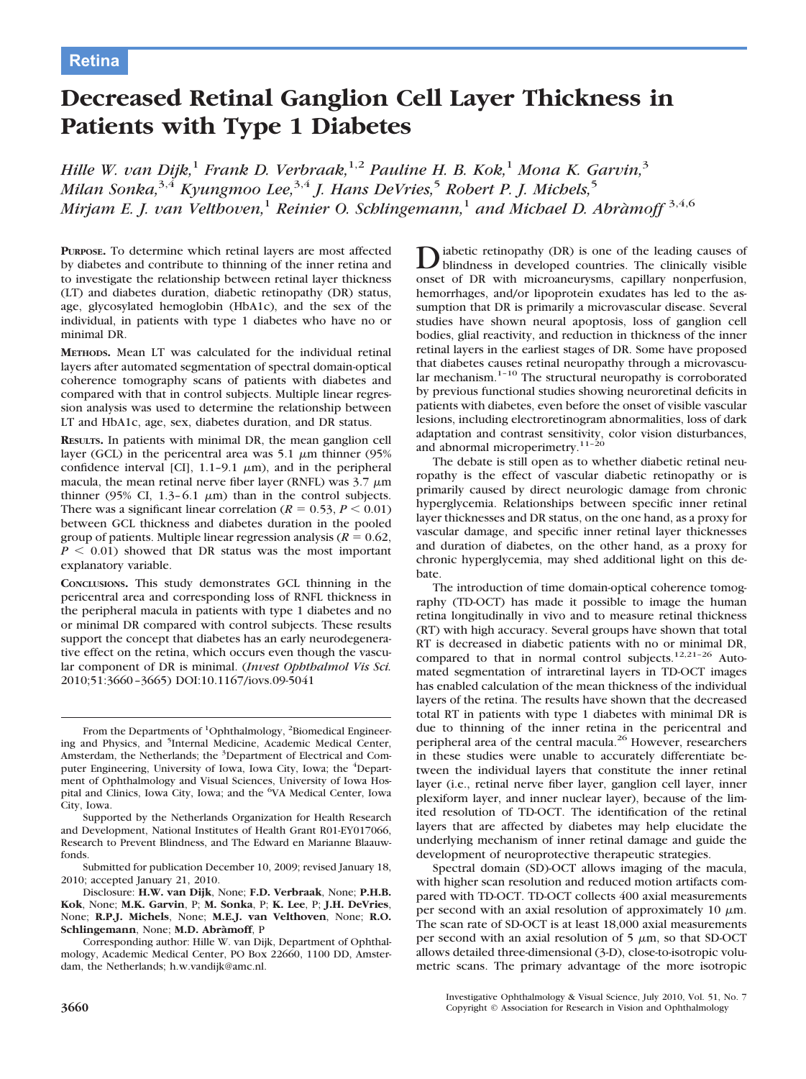# **Decreased Retinal Ganglion Cell Layer Thickness in Patients with Type 1 Diabetes**

*Hille W. van Dijk,*<sup>1</sup> *Frank D. Verbraak,*1,2 *Pauline H. B. Kok,*<sup>1</sup> *Mona K. Garvin,*<sup>3</sup> *Milan Sonka,*3,4 *Kyungmoo Lee,*3,4 *J. Hans DeVries,*<sup>5</sup> *Robert P. J. Michels,*<sup>5</sup> *Mirjam E. J. van Velthoven,*<sup>1</sup> *Reinier O. Schlingemann,*<sup>1</sup> *and Michael D. Abra`moff* 3,4,6

**PURPOSE.** To determine which retinal layers are most affected by diabetes and contribute to thinning of the inner retina and to investigate the relationship between retinal layer thickness (LT) and diabetes duration, diabetic retinopathy (DR) status, age, glycosylated hemoglobin (HbA1c), and the sex of the individual, in patients with type 1 diabetes who have no or minimal DR.

**METHODS.** Mean LT was calculated for the individual retinal layers after automated segmentation of spectral domain-optical coherence tomography scans of patients with diabetes and compared with that in control subjects. Multiple linear regression analysis was used to determine the relationship between LT and HbA1c, age, sex, diabetes duration, and DR status.

**RESULTS.** In patients with minimal DR, the mean ganglion cell layer (GCL) in the pericentral area was  $5.1 \mu m$  thinner (95%) confidence interval [CI], 1.1-9.1  $\mu$ m), and in the peripheral macula, the mean retinal nerve fiber layer (RNFL) was  $3.7 \mu m$ thinner (95% CI, 1.3–6.1  $\mu$ m) than in the control subjects. There was a significant linear correlation ( $R = 0.53, P \le 0.01$ ) between GCL thickness and diabetes duration in the pooled group of patients. Multiple linear regression analysis ( $R = 0.62$ ,  $P < 0.01$ ) showed that DR status was the most important explanatory variable.

**CONCLUSIONS.** This study demonstrates GCL thinning in the pericentral area and corresponding loss of RNFL thickness in the peripheral macula in patients with type 1 diabetes and no or minimal DR compared with control subjects. These results support the concept that diabetes has an early neurodegenerative effect on the retina, which occurs even though the vascular component of DR is minimal. (*Invest Ophthalmol Vis Sci.* 2010;51:3660 –3665) DOI:10.1167/iovs.09-5041

From the Departments of <sup>1</sup>Ophthalmology, <sup>2</sup>Biomedical Engineering and Physics, and <sup>5</sup>Internal Medicine, Academic Medical Center, Amsterdam, the Netherlands; the <sup>3</sup>Department of Electrical and Computer Engineering, University of Iowa, Iowa City, Iowa; the <sup>4</sup>Department of Ophthalmology and Visual Sciences, University of Iowa Hospital and Clinics, Iowa City, Iowa; and the <sup>6</sup>VA Medical Center, Iowa City, Iowa.

Supported by the Netherlands Organization for Health Research and Development, National Institutes of Health Grant R01-EY017066, Research to Prevent Blindness, and The Edward en Marianne Blaauwfonds.

Submitted for publication December 10, 2009; revised January 18, 2010; accepted January 21, 2010.

Disclosure: **H.W. van Dijk**, None; **F.D. Verbraak**, None; **P.H.B. Kok**, None; **M.K. Garvin**, P; **M. Sonka**, P; **K. Lee**, P; **J.H. DeVries**, None; **R.P.J. Michels**, None; **M.E.J. van Velthoven**, None; **R.O. Schlingemann**, None; **M.D. Abra`moff**, P

Corresponding author: Hille W. van Dijk, Department of Ophthalmology, Academic Medical Center, PO Box 22660, 1100 DD, Amsterdam, the Netherlands; h.w.vandijk@amc.nl.

Diabetic retinopathy (DR) is one of the leading causes of blindness in developed countries. The clinically visible onset of DR with microaneurysms, capillary nonperfusion, hemorrhages, and/or lipoprotein exudates has led to the assumption that DR is primarily a microvascular disease. Several studies have shown neural apoptosis, loss of ganglion cell bodies, glial reactivity, and reduction in thickness of the inner retinal layers in the earliest stages of DR. Some have proposed that diabetes causes retinal neuropathy through a microvascular mechanism. $1-10$  The structural neuropathy is corroborated by previous functional studies showing neuroretinal deficits in patients with diabetes, even before the onset of visible vascular lesions, including electroretinogram abnormalities, loss of dark adaptation and contrast sensitivity, color vision disturbances, and abnormal microperimetry.<sup>11-20</sup>

The debate is still open as to whether diabetic retinal neuropathy is the effect of vascular diabetic retinopathy or is primarily caused by direct neurologic damage from chronic hyperglycemia. Relationships between specific inner retinal layer thicknesses and DR status, on the one hand, as a proxy for vascular damage, and specific inner retinal layer thicknesses and duration of diabetes, on the other hand, as a proxy for chronic hyperglycemia, may shed additional light on this debate.

The introduction of time domain-optical coherence tomography (TD-OCT) has made it possible to image the human retina longitudinally in vivo and to measure retinal thickness (RT) with high accuracy. Several groups have shown that total RT is decreased in diabetic patients with no or minimal DR, compared to that in normal control subjects.<sup>12,21-26</sup> Automated segmentation of intraretinal layers in TD-OCT images has enabled calculation of the mean thickness of the individual layers of the retina. The results have shown that the decreased total RT in patients with type 1 diabetes with minimal DR is due to thinning of the inner retina in the pericentral and peripheral area of the central macula.<sup>26</sup> However, researchers in these studies were unable to accurately differentiate between the individual layers that constitute the inner retinal layer (i.e., retinal nerve fiber layer, ganglion cell layer, inner plexiform layer, and inner nuclear layer), because of the limited resolution of TD-OCT. The identification of the retinal layers that are affected by diabetes may help elucidate the underlying mechanism of inner retinal damage and guide the development of neuroprotective therapeutic strategies.

Spectral domain (SD)-OCT allows imaging of the macula, with higher scan resolution and reduced motion artifacts compared with TD-OCT. TD-OCT collects 400 axial measurements per second with an axial resolution of approximately 10  $\mu$ m. The scan rate of SD-OCT is at least 18,000 axial measurements per second with an axial resolution of  $5 \mu m$ , so that SD-OCT allows detailed three-dimensional (3-D), close-to-isotropic volumetric scans. The primary advantage of the more isotropic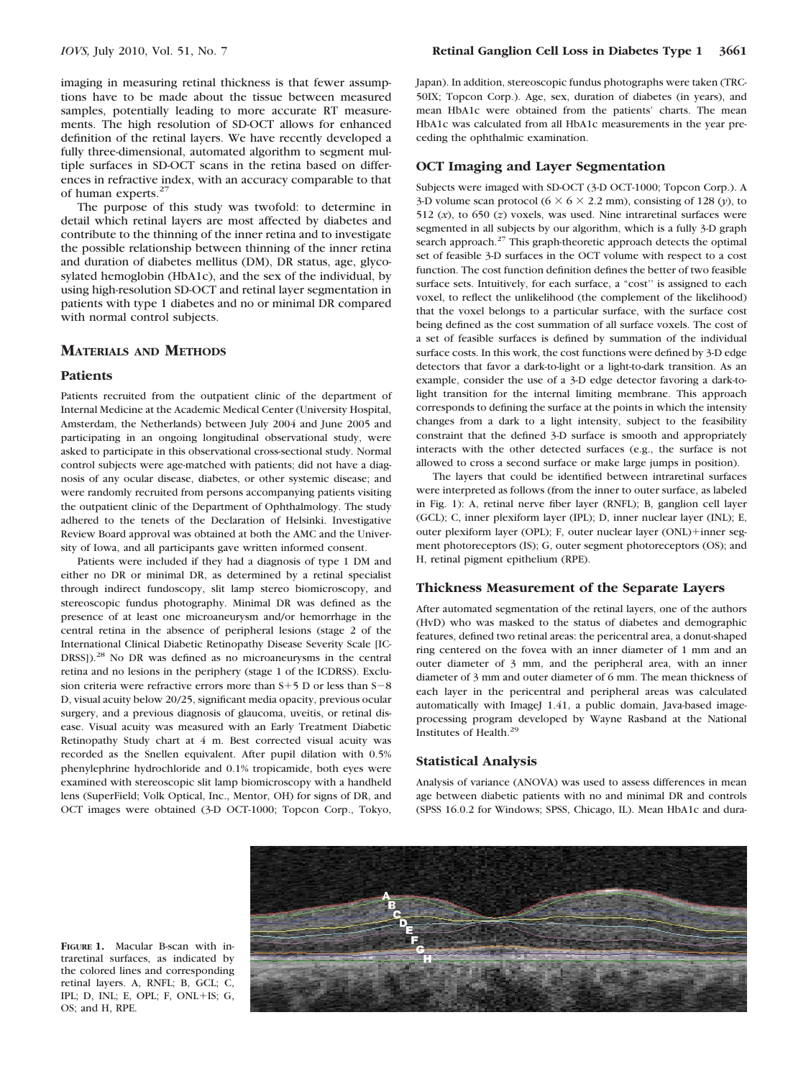imaging in measuring retinal thickness is that fewer assumptions have to be made about the tissue between measured samples, potentially leading to more accurate RT measurements. The high resolution of SD-OCT allows for enhanced definition of the retinal layers. We have recently developed a fully three-dimensional, automated algorithm to segment multiple surfaces in SD-OCT scans in the retina based on differences in refractive index, with an accuracy comparable to that of human experts.<sup>27</sup>

The purpose of this study was twofold: to determine in detail which retinal layers are most affected by diabetes and contribute to the thinning of the inner retina and to investigate the possible relationship between thinning of the inner retina and duration of diabetes mellitus (DM), DR status, age, glycosylated hemoglobin (HbA1c), and the sex of the individual, by using high-resolution SD-OCT and retinal layer segmentation in patients with type 1 diabetes and no or minimal DR compared with normal control subjects.

# **MATERIALS AND METHODS**

#### **Patients**

Patients recruited from the outpatient clinic of the department of Internal Medicine at the Academic Medical Center (University Hospital, Amsterdam, the Netherlands) between July 2004 and June 2005 and participating in an ongoing longitudinal observational study, were asked to participate in this observational cross-sectional study. Normal control subjects were age-matched with patients; did not have a diagnosis of any ocular disease, diabetes, or other systemic disease; and were randomly recruited from persons accompanying patients visiting the outpatient clinic of the Department of Ophthalmology. The study adhered to the tenets of the Declaration of Helsinki. Investigative Review Board approval was obtained at both the AMC and the University of Iowa, and all participants gave written informed consent.

Patients were included if they had a diagnosis of type 1 DM and either no DR or minimal DR, as determined by a retinal specialist through indirect fundoscopy, slit lamp stereo biomicroscopy, and stereoscopic fundus photography. Minimal DR was defined as the presence of at least one microaneurysm and/or hemorrhage in the central retina in the absence of peripheral lesions (stage 2 of the International Clinical Diabetic Retinopathy Disease Severity Scale [IC-DRSS]).<sup>28</sup> No DR was defined as no microaneurysms in the central retina and no lesions in the periphery (stage 1 of the ICDRSS). Exclusion criteria were refractive errors more than  $S+5$  D or less than  $S-8$ D, visual acuity below 20/25, significant media opacity, previous ocular surgery, and a previous diagnosis of glaucoma, uveitis, or retinal disease. Visual acuity was measured with an Early Treatment Diabetic Retinopathy Study chart at 4 m. Best corrected visual acuity was recorded as the Snellen equivalent. After pupil dilation with 0.5% phenylephrine hydrochloride and 0.1% tropicamide, both eyes were examined with stereoscopic slit lamp biomicroscopy with a handheld lens (SuperField; Volk Optical, Inc., Mentor, OH) for signs of DR, and OCT images were obtained (3-D OCT-1000; Topcon Corp., Tokyo,

Japan). In addition, stereoscopic fundus photographs were taken (TRC-50IX; Topcon Corp.). Age, sex, duration of diabetes (in years), and mean HbA1c were obtained from the patients' charts. The mean HbA1c was calculated from all HbA1c measurements in the year preceding the ophthalmic examination.

# **OCT Imaging and Layer Segmentation**

Subjects were imaged with SD-OCT (3-D OCT-1000; Topcon Corp.). A 3-D volume scan protocol ( $6 \times 6 \times 2.2$  mm), consisting of 128 (*y*), to 512  $(x)$ , to 650  $(z)$  voxels, was used. Nine intraretinal surfaces were segmented in all subjects by our algorithm, which is a fully 3-D graph search approach.<sup>27</sup> This graph-theoretic approach detects the optimal set of feasible 3-D surfaces in the OCT volume with respect to a cost function. The cost function definition defines the better of two feasible surface sets. Intuitively, for each surface, a "cost'' is assigned to each voxel, to reflect the unlikelihood (the complement of the likelihood) that the voxel belongs to a particular surface, with the surface cost being defined as the cost summation of all surface voxels. The cost of a set of feasible surfaces is defined by summation of the individual surface costs. In this work, the cost functions were defined by 3-D edge detectors that favor a dark-to-light or a light-to-dark transition. As an example, consider the use of a 3-D edge detector favoring a dark-tolight transition for the internal limiting membrane. This approach corresponds to defining the surface at the points in which the intensity changes from a dark to a light intensity, subject to the feasibility constraint that the defined 3-D surface is smooth and appropriately interacts with the other detected surfaces (e.g., the surface is not allowed to cross a second surface or make large jumps in position).

The layers that could be identified between intraretinal surfaces were interpreted as follows (from the inner to outer surface, as labeled in Fig. 1): A, retinal nerve fiber layer (RNFL); B, ganglion cell layer (GCL); C, inner plexiform layer (IPL); D, inner nuclear layer (INL); E, outer plexiform layer (OPL); F, outer nuclear layer (ONL)+inner segment photoreceptors (IS); G, outer segment photoreceptors (OS); and H, retinal pigment epithelium (RPE).

### **Thickness Measurement of the Separate Layers**

After automated segmentation of the retinal layers, one of the authors (HvD) who was masked to the status of diabetes and demographic features, defined two retinal areas: the pericentral area, a donut-shaped ring centered on the fovea with an inner diameter of 1 mm and an outer diameter of 3 mm, and the peripheral area, with an inner diameter of 3 mm and outer diameter of 6 mm. The mean thickness of each layer in the pericentral and peripheral areas was calculated automatically with ImageJ 1.41, a public domain, Java-based imageprocessing program developed by Wayne Rasband at the National Institutes of Health.29

#### **Statistical Analysis**

Analysis of variance (ANOVA) was used to assess differences in mean age between diabetic patients with no and minimal DR and controls (SPSS 16.0.2 for Windows; SPSS, Chicago, IL). Mean HbA1c and dura-



**FIGURE 1.** Macular B-scan with intraretinal surfaces, as indicated by the colored lines and corresponding retinal layers. A, RNFL; B, GCL; C, IPL; D, INL; E, OPL; F, ONL+IS; G, OS; and H, RPE.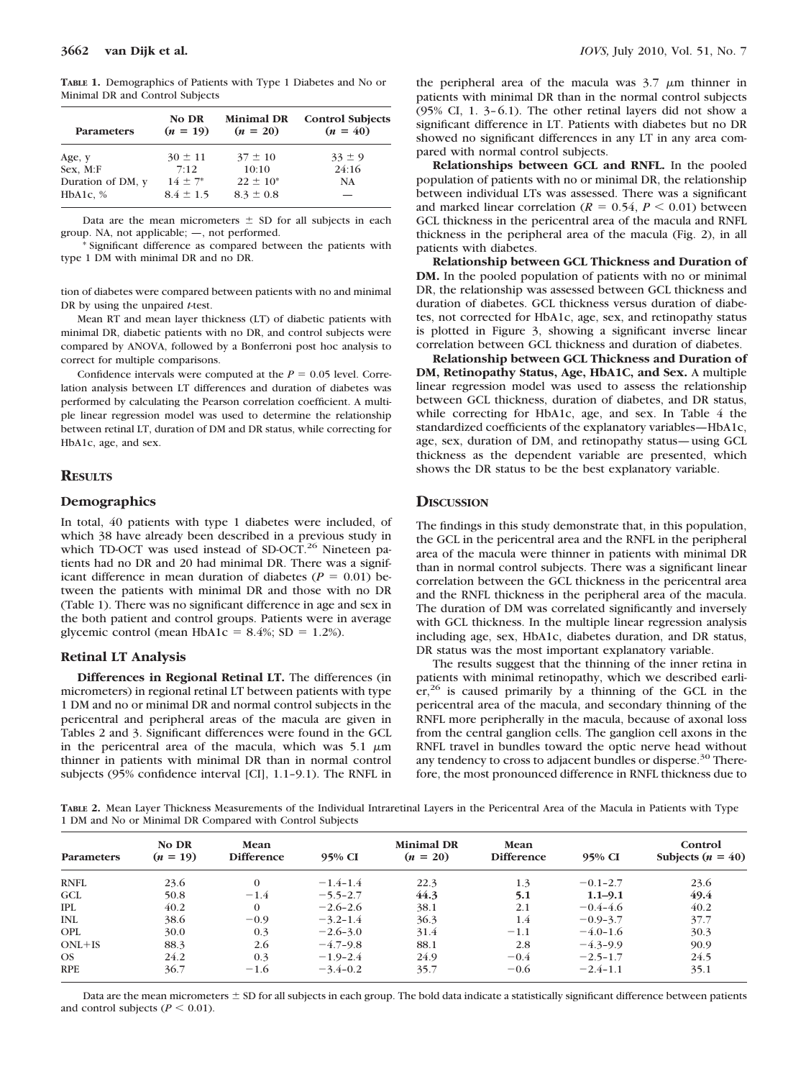**TABLE 1.** Demographics of Patients with Type 1 Diabetes and No or Minimal DR and Control Subjects

| <b>Parameters</b> | No DR<br>$(n = 19)$ | <b>Minimal DR</b><br>$(n = 20)$ | <b>Control Subjects</b><br>$(n = 40)$ |  |
|-------------------|---------------------|---------------------------------|---------------------------------------|--|
| Age, y            | $30 \pm 11$         | $37 \pm 10$                     | $33 \pm 9$                            |  |
| Sex, M:F          | 7:12                | 10:10                           | 24:16                                 |  |
| Duration of DM, y | $14 \pm 7^*$        | $22 \pm 10^*$                   | <b>NA</b>                             |  |
| HbA1c, $%$        | $8.4 \pm 1.5$       | $8.3 \pm 0.8$                   |                                       |  |

Data are the mean micrometers  $\pm$  SD for all subjects in each group. NA, not applicable; —, not performed.

\* Significant difference as compared between the patients with type 1 DM with minimal DR and no DR.

tion of diabetes were compared between patients with no and minimal DR by using the unpaired *t*-test.

Mean RT and mean layer thickness (LT) of diabetic patients with minimal DR, diabetic patients with no DR, and control subjects were compared by ANOVA, followed by a Bonferroni post hoc analysis to correct for multiple comparisons.

Confidence intervals were computed at the  $P = 0.05$  level. Correlation analysis between LT differences and duration of diabetes was performed by calculating the Pearson correlation coefficient. A multiple linear regression model was used to determine the relationship between retinal LT, duration of DM and DR status, while correcting for HbA1c, age, and sex.

# **RESULTS**

## **Demographics**

In total, 40 patients with type 1 diabetes were included, of which 38 have already been described in a previous study in which TD-OCT was used instead of SD-OCT.<sup>26</sup> Nineteen patients had no DR and 20 had minimal DR. There was a significant difference in mean duration of diabetes  $(P = 0.01)$  between the patients with minimal DR and those with no DR (Table 1). There was no significant difference in age and sex in the both patient and control groups. Patients were in average glycemic control (mean HbA1c =  $8.4\%$ ; SD = 1.2%).

#### **Retinal LT Analysis**

**Differences in Regional Retinal LT.** The differences (in micrometers) in regional retinal LT between patients with type 1 DM and no or minimal DR and normal control subjects in the pericentral and peripheral areas of the macula are given in Tables 2 and 3. Significant differences were found in the GCL in the pericentral area of the macula, which was  $5.1 \mu m$ thinner in patients with minimal DR than in normal control subjects (95% confidence interval [CI], 1.1–9.1). The RNFL in the peripheral area of the macula was  $3.7 \mu m$  thinner in patients with minimal DR than in the normal control subjects (95% CI, 1.  $3-6.1$ ). The other retinal layers did not show a significant difference in LT. Patients with diabetes but no DR showed no significant differences in any LT in any area compared with normal control subjects.

**Relationships between GCL and RNFL.** In the pooled population of patients with no or minimal DR, the relationship between individual LTs was assessed. There was a significant and marked linear correlation  $(R = 0.54, P \le 0.01)$  between GCL thickness in the pericentral area of the macula and RNFL thickness in the peripheral area of the macula (Fig. 2), in all patients with diabetes.

**Relationship between GCL Thickness and Duration of DM.** In the pooled population of patients with no or minimal DR, the relationship was assessed between GCL thickness and duration of diabetes. GCL thickness versus duration of diabetes, not corrected for HbA1c, age, sex, and retinopathy status is plotted in Figure 3, showing a significant inverse linear correlation between GCL thickness and duration of diabetes.

**Relationship between GCL Thickness and Duration of DM, Retinopathy Status, Age, HbA1C, and Sex.** A multiple linear regression model was used to assess the relationship between GCL thickness, duration of diabetes, and DR status, while correcting for HbA1c, age, and sex. In Table 4 the standardized coefficients of the explanatory variables—HbA1c, age, sex, duration of DM, and retinopathy status— using GCL thickness as the dependent variable are presented, which shows the DR status to be the best explanatory variable.

## **DISCUSSION**

The findings in this study demonstrate that, in this population, the GCL in the pericentral area and the RNFL in the peripheral area of the macula were thinner in patients with minimal DR than in normal control subjects. There was a significant linear correlation between the GCL thickness in the pericentral area and the RNFL thickness in the peripheral area of the macula. The duration of DM was correlated significantly and inversely with GCL thickness. In the multiple linear regression analysis including age, sex, HbA1c, diabetes duration, and DR status, DR status was the most important explanatory variable.

The results suggest that the thinning of the inner retina in patients with minimal retinopathy, which we described earli $er<sub>1</sub><sup>26</sup>$  is caused primarily by a thinning of the GCL in the pericentral area of the macula, and secondary thinning of the RNFL more peripherally in the macula, because of axonal loss from the central ganglion cells. The ganglion cell axons in the RNFL travel in bundles toward the optic nerve head without any tendency to cross to adjacent bundles or disperse.<sup>30</sup> Therefore, the most pronounced difference in RNFL thickness due to

**TABLE 2.** Mean Layer Thickness Measurements of the Individual Intraretinal Layers in the Pericentral Area of the Macula in Patients with Type 1 DM and No or Minimal DR Compared with Control Subjects

| Parameters  | No DR<br>$(n = 19)$ | Mean<br><b>Difference</b> | 95% CI       | <b>Minimal DR</b><br>$(n = 20)$ | Mean<br><b>Difference</b> | 95% CI       | Control<br>Subjects $(n = 40)$ |
|-------------|---------------------|---------------------------|--------------|---------------------------------|---------------------------|--------------|--------------------------------|
| <b>RNFL</b> | 23.6                | $\Omega$                  | $-1.4 - 1.4$ | 22.3                            | 1.3                       | $-0.1 - 2.7$ | 23.6                           |
| GCL         | 50.8                | $-1.4$                    | $-5.5 - 2.7$ | 44.3                            | 5.1                       | $1.1 - 9.1$  | 49.4                           |
| <b>IPL</b>  | 40.2                | $\Omega$                  | $-2.6 - 2.6$ | 38.1                            | 2.1                       | $-0.4 - 4.6$ | 40.2                           |
| <b>INL</b>  | 38.6                | $-0.9$                    | $-3.2 - 1.4$ | 36.3                            | 1.4                       | $-0.9-3.7$   | 37.7                           |
| OPL         | 30.0                | 0.3                       | $-2.6 - 3.0$ | 31.4                            | $-1.1$                    | $-4.0 - 1.6$ | 30.3                           |
| $ONL+IS$    | 88.3                | 2.6                       | $-4.7-9.8$   | 88.1                            | 2.8                       | $-4.3 - 9.9$ | 90.9                           |
| OS.         | 24.2                | 0.3                       | $-1.9-2.4$   | 24.9                            | $-0.4$                    | $-2.5 - 1.7$ | 24.5                           |
| <b>RPE</b>  | 36.7                | $-1.6$                    | $-3.4-0.2$   | 35.7                            | $-0.6$                    | $-2.4-1.1$   | 35.1                           |

Data are the mean micrometers  $\pm$  SD for all subjects in each group. The bold data indicate a statistically significant difference between patients and control subjects ( $P \leq 0.01$ ).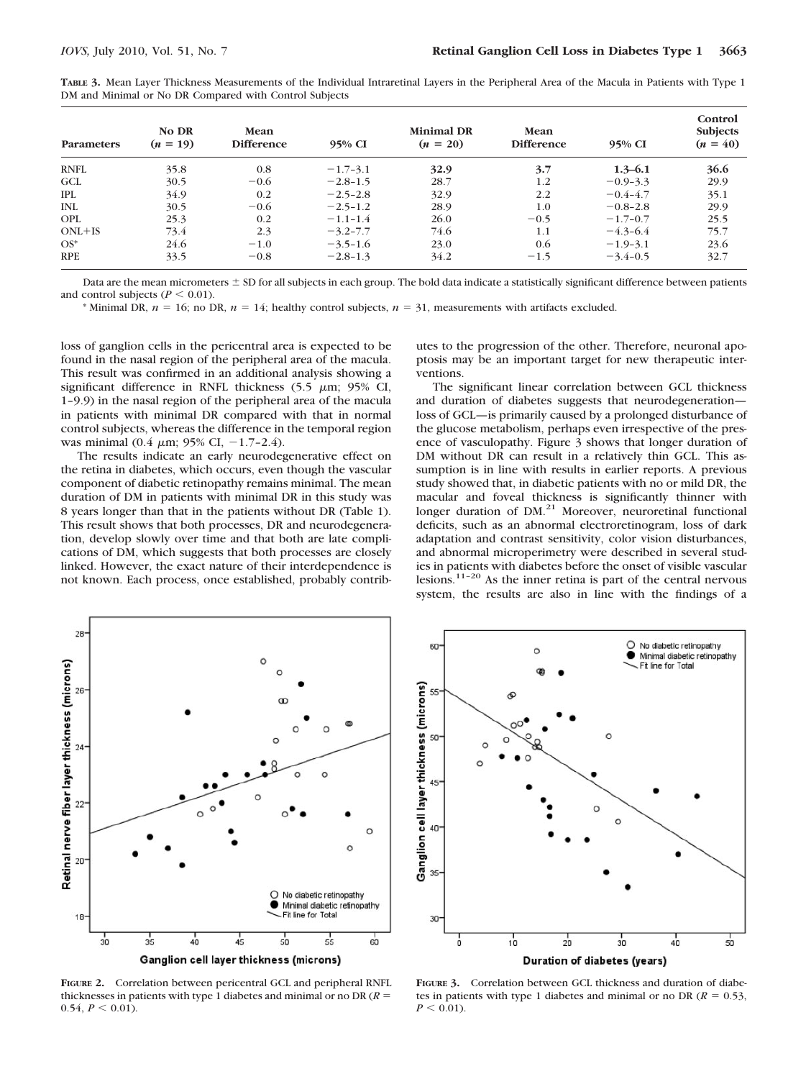| TABLE 3. Mean Layer Thickness Measurements of the Individual Intraretinal Layers in the Peripheral Area of the Macula in Patients with Type 1 |  |
|-----------------------------------------------------------------------------------------------------------------------------------------------|--|
| DM and Minimal or No DR Compared with Control Subjects                                                                                        |  |

| <b>Parameters</b> | <b>No DR</b><br>$(n = 19)$ | Mean<br><b>Difference</b> | 95% CI       | <b>Minimal DR</b><br>$(n = 20)$ | Mean<br><b>Difference</b> | 95% CI       | Control<br><b>Subjects</b><br>$(n = 40)$ |
|-------------------|----------------------------|---------------------------|--------------|---------------------------------|---------------------------|--------------|------------------------------------------|
| <b>RNFL</b>       | 35.8                       | 0.8                       | $-1.7-3.1$   | 32.9                            | 3.7                       | $1.3 - 6.1$  | 36.6                                     |
| <b>GCL</b>        | 30.5                       | $-0.6$                    | $-2.8 - 1.5$ | 28.7                            | 1.2                       | $-0.9-3.3$   | 29.9                                     |
| <b>IPL</b>        | 34.9                       | 0.2                       | $-2.5 - 2.8$ | 32.9                            | 2.2                       | $-0.4 - 4.7$ | 35.1                                     |
| <b>INL</b>        | 30.5                       | $-0.6$                    | $-2.5 - 1.2$ | 28.9                            | 1.0                       | $-0.8 - 2.8$ | 29.9                                     |
| <b>OPL</b>        | 25.3                       | 0.2                       | $-1.1 - 1.4$ | 26.0                            | $-0.5$                    | $-1.7-0.7$   | 25.5                                     |
| $ONL+IS$          | 73.4                       | 2.3                       | $-3.2 - 7.7$ | 74.6                            | 1.1                       | $-4.3 - 6.4$ | 75.7                                     |
| $OS^*$            | 24.6                       | $-1.0$                    | $-3.5 - 1.6$ | 23.0                            | 0.6                       | $-1.9-3.1$   | 23.6                                     |
| <b>RPE</b>        | 33.5                       | $-0.8$                    | $-2.8-1.3$   | 34.2                            | $-1.5$                    | $-3.4 - 0.5$ | 32.7                                     |

Data are the mean micrometers  $\pm$  SD for all subjects in each group. The bold data indicate a statistically significant difference between patients and control subjects ( $P \leq 0.01$ ).

\* Minimal DR,  $n = 16$ ; no DR,  $n = 14$ ; healthy control subjects,  $n = 31$ , measurements with artifacts excluded.

loss of ganglion cells in the pericentral area is expected to be found in the nasal region of the peripheral area of the macula. This result was confirmed in an additional analysis showing a significant difference in RNFL thickness  $(5.5 \mu m; 95\% \text{ CI},$ 1–9.9) in the nasal region of the peripheral area of the macula in patients with minimal DR compared with that in normal control subjects, whereas the difference in the temporal region was minimal (0.4  $\mu$ m; 95% CI, -1.7-2.4).

The results indicate an early neurodegenerative effect on the retina in diabetes, which occurs, even though the vascular component of diabetic retinopathy remains minimal. The mean duration of DM in patients with minimal DR in this study was 8 years longer than that in the patients without DR (Table 1). This result shows that both processes, DR and neurodegeneration, develop slowly over time and that both are late complications of DM, which suggests that both processes are closely linked. However, the exact nature of their interdependence is not known. Each process, once established, probably contributes to the progression of the other. Therefore, neuronal apoptosis may be an important target for new therapeutic interventions.

The significant linear correlation between GCL thickness and duration of diabetes suggests that neurodegeneration loss of GCL—is primarily caused by a prolonged disturbance of the glucose metabolism, perhaps even irrespective of the presence of vasculopathy. Figure 3 shows that longer duration of DM without DR can result in a relatively thin GCL. This assumption is in line with results in earlier reports. A previous study showed that, in diabetic patients with no or mild DR, the macular and foveal thickness is significantly thinner with longer duration of DM.<sup>21</sup> Moreover, neuroretinal functional deficits, such as an abnormal electroretinogram, loss of dark adaptation and contrast sensitivity, color vision disturbances, and abnormal microperimetry were described in several studies in patients with diabetes before the onset of visible vascular lesions.11–20 As the inner retina is part of the central nervous system, the results are also in line with the findings of a



**FIGURE 2.** Correlation between pericentral GCL and peripheral RNFL thicknesses in patients with type 1 diabetes and minimal or no DR (*R*  $0.54, P \leq 0.01$ ).



**FIGURE 3.** Correlation between GCL thickness and duration of diabetes in patients with type 1 diabetes and minimal or no DR ( $R = 0.53$ ,  $P < 0.01$ ).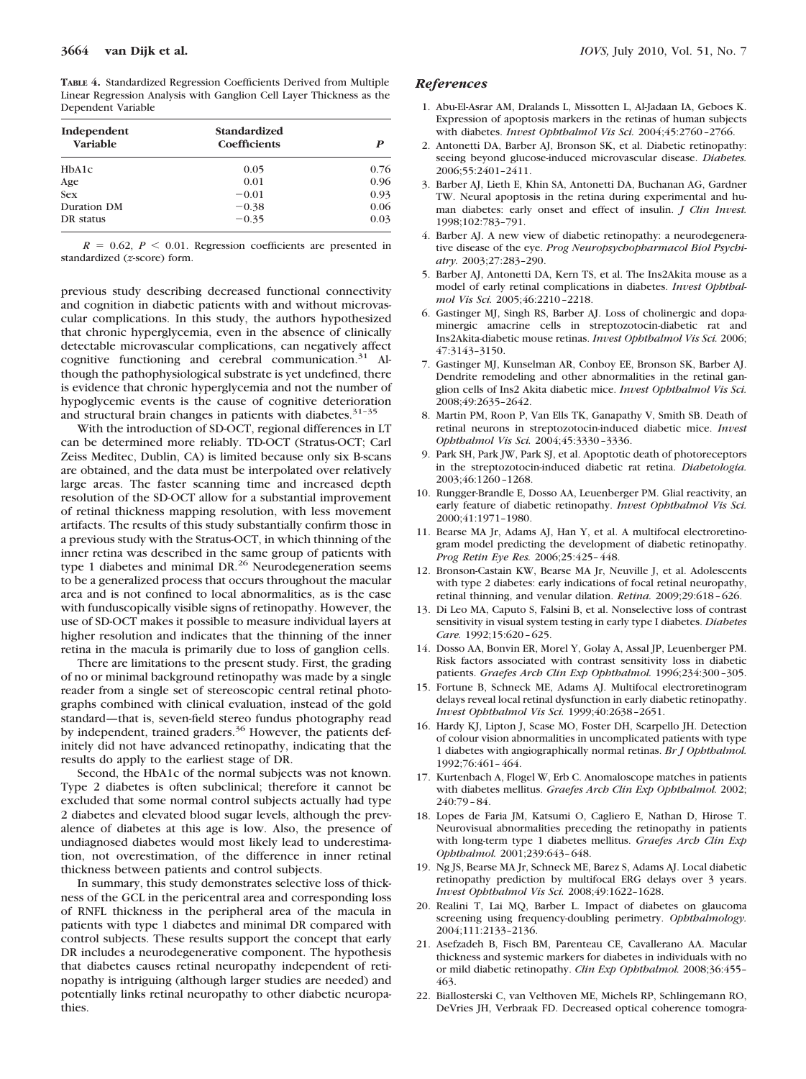**TABLE 4.** Standardized Regression Coefficients Derived from Multiple Linear Regression Analysis with Ganglion Cell Layer Thickness as the Dependent Variable

| Independent | Standardized        |      |  |
|-------------|---------------------|------|--|
| Variable    | <b>Coefficients</b> | P    |  |
| HbA1c       | 0.05                | 0.76 |  |
| Age         | 0.01                | 0.96 |  |
| <b>Sex</b>  | $-0.01$             | 0.93 |  |
| Duration DM | $-0.38$             | 0.06 |  |
| DR status   | $-0.35$             | 0.03 |  |

 $R = 0.62$ ,  $P \le 0.01$ . Regression coefficients are presented in standardized (*z*-score) form.

previous study describing decreased functional connectivity and cognition in diabetic patients with and without microvascular complications. In this study, the authors hypothesized that chronic hyperglycemia, even in the absence of clinically detectable microvascular complications, can negatively affect cognitive functioning and cerebral communication.<sup>31</sup> Although the pathophysiological substrate is yet undefined, there is evidence that chronic hyperglycemia and not the number of hypoglycemic events is the cause of cognitive deterioration and structural brain changes in patients with diabetes.<sup>31-35</sup>

With the introduction of SD-OCT, regional differences in LT can be determined more reliably. TD-OCT (Stratus-OCT; Carl Zeiss Meditec, Dublin, CA) is limited because only six B-scans are obtained, and the data must be interpolated over relatively large areas. The faster scanning time and increased depth resolution of the SD-OCT allow for a substantial improvement of retinal thickness mapping resolution, with less movement artifacts. The results of this study substantially confirm those in a previous study with the Stratus-OCT, in which thinning of the inner retina was described in the same group of patients with type 1 diabetes and minimal DR.<sup>26</sup> Neurodegeneration seems to be a generalized process that occurs throughout the macular area and is not confined to local abnormalities, as is the case with funduscopically visible signs of retinopathy. However, the use of SD-OCT makes it possible to measure individual layers at higher resolution and indicates that the thinning of the inner retina in the macula is primarily due to loss of ganglion cells.

There are limitations to the present study. First, the grading of no or minimal background retinopathy was made by a single reader from a single set of stereoscopic central retinal photographs combined with clinical evaluation, instead of the gold standard—that is, seven-field stereo fundus photography read by independent, trained graders.<sup>36</sup> However, the patients definitely did not have advanced retinopathy, indicating that the results do apply to the earliest stage of DR.

Second, the HbA1c of the normal subjects was not known. Type 2 diabetes is often subclinical; therefore it cannot be excluded that some normal control subjects actually had type 2 diabetes and elevated blood sugar levels, although the prevalence of diabetes at this age is low. Also, the presence of undiagnosed diabetes would most likely lead to underestimation, not overestimation, of the difference in inner retinal thickness between patients and control subjects.

In summary, this study demonstrates selective loss of thickness of the GCL in the pericentral area and corresponding loss of RNFL thickness in the peripheral area of the macula in patients with type 1 diabetes and minimal DR compared with control subjects. These results support the concept that early DR includes a neurodegenerative component. The hypothesis that diabetes causes retinal neuropathy independent of retinopathy is intriguing (although larger studies are needed) and potentially links retinal neuropathy to other diabetic neuropathies.

## *References*

- 1. Abu-El-Asrar AM, Dralands L, Missotten L, Al-Jadaan IA, Geboes K. Expression of apoptosis markers in the retinas of human subjects with diabetes. *Invest Ophthalmol Vis Sci.* 2004;45:2760 –2766.
- 2. Antonetti DA, Barber AJ, Bronson SK, et al. Diabetic retinopathy: seeing beyond glucose-induced microvascular disease. *Diabetes.* 2006;55:2401–2411.
- 3. Barber AJ, Lieth E, Khin SA, Antonetti DA, Buchanan AG, Gardner TW. Neural apoptosis in the retina during experimental and human diabetes: early onset and effect of insulin. *J Clin Invest.* 1998;102:783–791.
- 4. Barber AJ. A new view of diabetic retinopathy: a neurodegenerative disease of the eye. *Prog Neuropsychopharmacol Biol Psychiatry.* 2003;27:283–290.
- 5. Barber AJ, Antonetti DA, Kern TS, et al. The Ins2Akita mouse as a model of early retinal complications in diabetes. *Invest Ophthalmol Vis Sci.* 2005;46:2210 –2218.
- 6. Gastinger MJ, Singh RS, Barber AJ. Loss of cholinergic and dopaminergic amacrine cells in streptozotocin-diabetic rat and Ins2Akita-diabetic mouse retinas. *Invest Ophthalmol Vis Sci.* 2006; 47:3143–3150.
- 7. Gastinger MJ, Kunselman AR, Conboy EE, Bronson SK, Barber AJ. Dendrite remodeling and other abnormalities in the retinal ganglion cells of Ins2 Akita diabetic mice. *Invest Ophthalmol Vis Sci.* 2008;49:2635–2642.
- 8. Martin PM, Roon P, Van Ells TK, Ganapathy V, Smith SB. Death of retinal neurons in streptozotocin-induced diabetic mice. *Invest Ophthalmol Vis Sci.* 2004;45:3330 –3336.
- 9. Park SH, Park JW, Park SJ, et al. Apoptotic death of photoreceptors in the streptozotocin-induced diabetic rat retina. *Diabetologia.* 2003;46:1260 –1268.
- 10. Rungger-Brandle E, Dosso AA, Leuenberger PM. Glial reactivity, an early feature of diabetic retinopathy. *Invest Ophthalmol Vis Sci.* 2000;41:1971–1980.
- 11. Bearse MA Jr, Adams AJ, Han Y, et al. A multifocal electroretinogram model predicting the development of diabetic retinopathy. *Prog Retin Eye Res.* 2006;25:425– 448.
- 12. Bronson-Castain KW, Bearse MA Jr, Neuville J, et al. Adolescents with type 2 diabetes: early indications of focal retinal neuropathy, retinal thinning, and venular dilation. *Retina.* 2009;29:618 – 626.
- 13. Di Leo MA, Caputo S, Falsini B, et al. Nonselective loss of contrast sensitivity in visual system testing in early type I diabetes. *Diabetes Care.* 1992;15:620 – 625.
- 14. Dosso AA, Bonvin ER, Morel Y, Golay A, Assal JP, Leuenberger PM. Risk factors associated with contrast sensitivity loss in diabetic patients. *Graefes Arch Clin Exp Ophthalmol.* 1996;234:300 –305.
- 15. Fortune B, Schneck ME, Adams AJ. Multifocal electroretinogram delays reveal local retinal dysfunction in early diabetic retinopathy. *Invest Ophthalmol Vis Sci.* 1999;40:2638 –2651.
- 16. Hardy KJ, Lipton J, Scase MO, Foster DH, Scarpello JH. Detection of colour vision abnormalities in uncomplicated patients with type 1 diabetes with angiographically normal retinas. *Br J Ophthalmol.* 1992;76:461– 464.
- 17. Kurtenbach A, Flogel W, Erb C. Anomaloscope matches in patients with diabetes mellitus. *Graefes Arch Clin Exp Ophthalmol.* 2002; 240:79 – 84.
- 18. Lopes de Faria JM, Katsumi O, Cagliero E, Nathan D, Hirose T. Neurovisual abnormalities preceding the retinopathy in patients with long-term type 1 diabetes mellitus. *Graefes Arch Clin Exp Ophthalmol.* 2001;239:643– 648.
- 19. Ng JS, Bearse MA Jr, Schneck ME, Barez S, Adams AJ. Local diabetic retinopathy prediction by multifocal ERG delays over 3 years. *Invest Ophthalmol Vis Sci.* 2008;49:1622–1628.
- 20. Realini T, Lai MQ, Barber L. Impact of diabetes on glaucoma screening using frequency-doubling perimetry. *Ophthalmology.* 2004;111:2133–2136.
- 21. Asefzadeh B, Fisch BM, Parenteau CE, Cavallerano AA. Macular thickness and systemic markers for diabetes in individuals with no or mild diabetic retinopathy. *Clin Exp Ophthalmol.* 2008;36:455– 463.
- 22. Biallosterski C, van Velthoven ME, Michels RP, Schlingemann RO, DeVries JH, Verbraak FD. Decreased optical coherence tomogra-